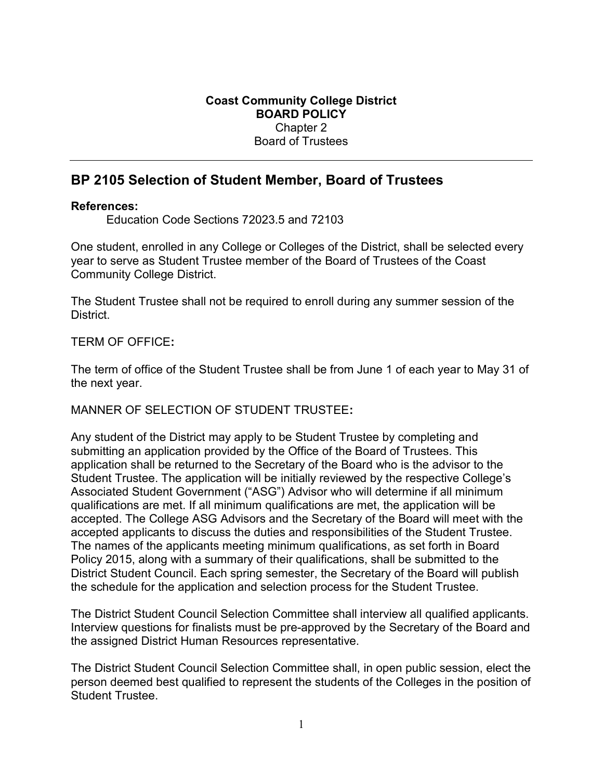# BP 2105 Selection of Student Member, Board of Trustees

### References:

Education Code Sections 72023.5 and 72103

One student, enrolled in any College or Colleges of the District, shall be selected every year to serve as Student Trustee member of the Board of Trustees of the Coast Community College District.

The Student Trustee shall not be required to enroll during any summer session of the District.

TERM OF OFFICE:

The term of office of the Student Trustee shall be from June 1 of each year to May 31 of the next year.

## MANNER OF SELECTION OF STUDENT TRUSTEE:

Any student of the District may apply to be Student Trustee by completing and submitting an application provided by the Office of the Board of Trustees. This application shall be returned to the Secretary of the Board who is the advisor to the Student Trustee. The application will be initially reviewed by the respective College's Associated Student Government ("ASG") Advisor who will determine if all minimum qualifications are met. If all minimum qualifications are met, the application will be accepted. The College ASG Advisors and the Secretary of the Board will meet with the accepted applicants to discuss the duties and responsibilities of the Student Trustee. The names of the applicants meeting minimum qualifications, as set forth in Board Policy 2015, along with a summary of their qualifications, shall be submitted to the District Student Council. Each spring semester, the Secretary of the Board will publish the schedule for the application and selection process for the Student Trustee.

The District Student Council Selection Committee shall interview all qualified applicants. Interview questions for finalists must be pre-approved by the Secretary of the Board and the assigned District Human Resources representative.

The District Student Council Selection Committee shall, in open public session, elect the person deemed best qualified to represent the students of the Colleges in the position of Student Trustee.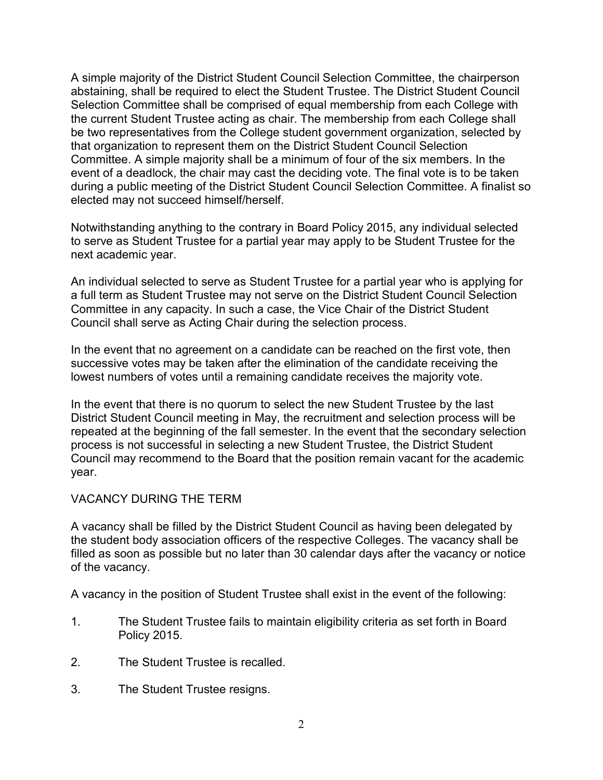A simple majority of the District Student Council Selection Committee, the chairperson abstaining, shall be required to elect the Student Trustee. The District Student Council Selection Committee shall be comprised of equal membership from each College with the current Student Trustee acting as chair. The membership from each College shall be two representatives from the College student government organization, selected by that organization to represent them on the District Student Council Selection Committee. A simple majority shall be a minimum of four of the six members. In the event of a deadlock, the chair may cast the deciding vote. The final vote is to be taken during a public meeting of the District Student Council Selection Committee. A finalist so elected may not succeed himself/herself.

Notwithstanding anything to the contrary in Board Policy 2015, any individual selected to serve as Student Trustee for a partial year may apply to be Student Trustee for the next academic year.

An individual selected to serve as Student Trustee for a partial year who is applying for a full term as Student Trustee may not serve on the District Student Council Selection Committee in any capacity. In such a case, the Vice Chair of the District Student Council shall serve as Acting Chair during the selection process.

In the event that no agreement on a candidate can be reached on the first vote, then successive votes may be taken after the elimination of the candidate receiving the lowest numbers of votes until a remaining candidate receives the majority vote.

In the event that there is no quorum to select the new Student Trustee by the last District Student Council meeting in May, the recruitment and selection process will be repeated at the beginning of the fall semester. In the event that the secondary selection process is not successful in selecting a new Student Trustee, the District Student Council may recommend to the Board that the position remain vacant for the academic year.

## VACANCY DURING THE TERM

A vacancy shall be filled by the District Student Council as having been delegated by the student body association officers of the respective Colleges. The vacancy shall be filled as soon as possible but no later than 30 calendar days after the vacancy or notice of the vacancy.

A vacancy in the position of Student Trustee shall exist in the event of the following:

- 1. The Student Trustee fails to maintain eligibility criteria as set forth in Board Policy 2015.
- 2. The Student Trustee is recalled.
- 3. The Student Trustee resigns.